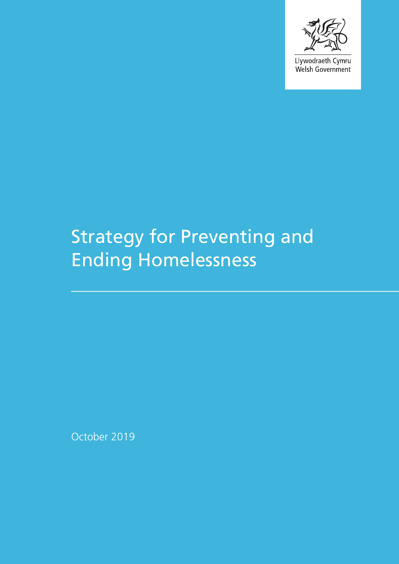

Llywodraeth Cymru Welsh Government

# Strategy for Preventing and Ending Homelessness

October 2019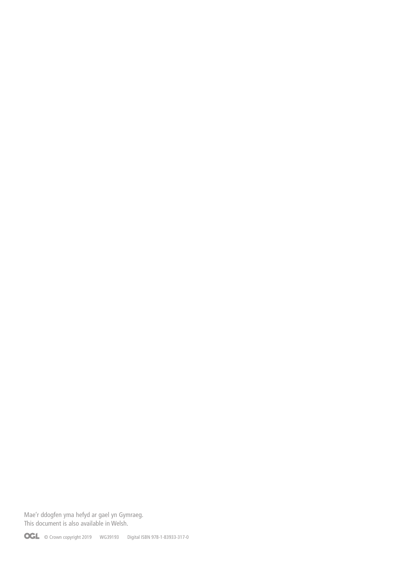Mae'r ddogfen yma hefyd ar gael yn Gymraeg. This document is also available in Welsh.

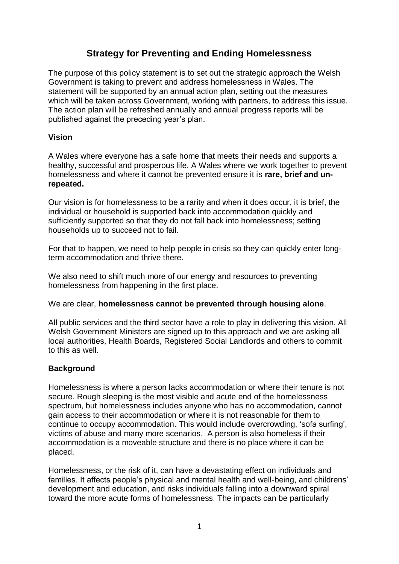# **Strategy for Preventing and Ending Homelessness**

The purpose of this policy statement is to set out the strategic approach the Welsh Government is taking to prevent and address homelessness in Wales. The statement will be supported by an annual action plan, setting out the measures which will be taken across Government, working with partners, to address this issue. The action plan will be refreshed annually and annual progress reports will be published against the preceding year's plan.

#### **Vision**

A Wales where everyone has a safe home that meets their needs and supports a healthy, successful and prosperous life. A Wales where we work together to prevent homelessness and where it cannot be prevented ensure it is **rare, brief and unrepeated.** 

Our vision is for homelessness to be a rarity and when it does occur, it is brief, the individual or household is supported back into accommodation quickly and sufficiently supported so that they do not fall back into homelessness; setting households up to succeed not to fail.

For that to happen, we need to help people in crisis so they can quickly enter longterm accommodation and thrive there.

We also need to shift much more of our energy and resources to preventing homelessness from happening in the first place.

We are clear, **homelessness cannot be prevented through housing alone**.

All public services and the third sector have a role to play in delivering this vision. All Welsh Government Ministers are signed up to this approach and we are asking all local authorities, Health Boards, Registered Social Landlords and others to commit to this as well.

#### **Background**

Homelessness is where a person lacks accommodation or where their tenure is not secure. Rough sleeping is the most visible and acute end of the homelessness spectrum, but homelessness includes anyone who has no accommodation, cannot gain access to their accommodation or where it is not reasonable for them to continue to occupy accommodation. This would include overcrowding, 'sofa surfing', victims of abuse and many more scenarios. A person is also homeless if their accommodation is a moveable structure and there is no place where it can be placed.

Homelessness, or the risk of it, can have a devastating effect on individuals and families. It affects people's physical and mental health and well-being, and childrens' development and education, and risks individuals falling into a downward spiral toward the more acute forms of homelessness. The impacts can be particularly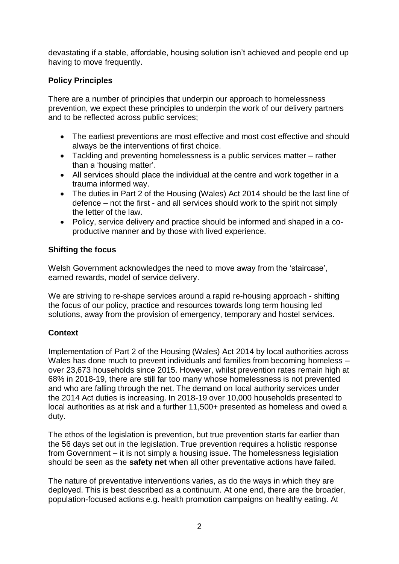devastating if a stable, affordable, housing solution isn't achieved and people end up having to move frequently.

### **Policy Principles**

There are a number of principles that underpin our approach to homelessness prevention, we expect these principles to underpin the work of our delivery partners and to be reflected across public services;

- The earliest preventions are most effective and most cost effective and should always be the interventions of first choice.
- Tackling and preventing homelessness is a public services matter rather than a 'housing matter'.
- All services should place the individual at the centre and work together in a trauma informed way.
- The duties in Part 2 of the Housing (Wales) Act 2014 should be the last line of defence – not the first - and all services should work to the spirit not simply the letter of the law.
- Policy, service delivery and practice should be informed and shaped in a coproductive manner and by those with lived experience.

#### **Shifting the focus**

Welsh Government acknowledges the need to move away from the 'staircase', earned rewards, model of service delivery.

We are striving to re-shape services around a rapid re-housing approach - shifting the focus of our policy, practice and resources towards long term housing led solutions, away from the provision of emergency, temporary and hostel services.

#### **Context**

Implementation of Part 2 of the Housing (Wales) Act 2014 by local authorities across Wales has done much to prevent individuals and families from becoming homeless – over 23,673 households since 2015. However, whilst prevention rates remain high at 68% in 2018-19, there are still far too many whose homelessness is not prevented and who are falling through the net. The demand on local authority services under the 2014 Act duties is increasing. In 2018-19 over 10,000 households presented to local authorities as at risk and a further 11,500+ presented as homeless and owed a duty.

The ethos of the legislation is prevention, but true prevention starts far earlier than the 56 days set out in the legislation. True prevention requires a holistic response from Government – it is not simply a housing issue. The homelessness legislation should be seen as the **safety net** when all other preventative actions have failed.

The nature of preventative interventions varies, as do the ways in which they are deployed. This is best described as a continuum. At one end, there are the broader, population-focused actions e.g. health promotion campaigns on healthy eating. At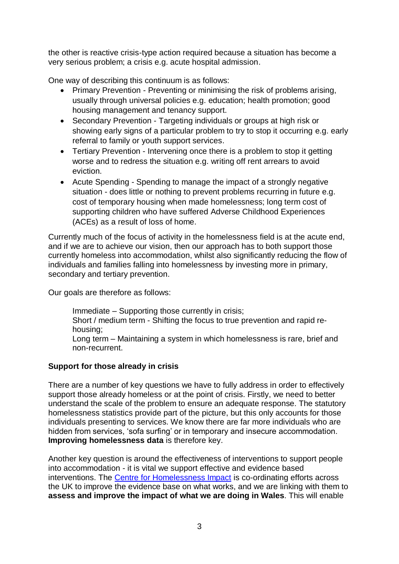the other is reactive crisis-type action required because a situation has become a very serious problem; a crisis e.g. acute hospital admission.

One way of describing this continuum is as follows:

- Primary Prevention Preventing or minimising the risk of problems arising, usually through universal policies e.g. education; health promotion; good housing management and tenancy support.
- Secondary Prevention Targeting individuals or groups at high risk or showing early signs of a particular problem to try to stop it occurring e.g. early referral to family or youth support services.
- Tertiary Prevention Intervening once there is a problem to stop it getting worse and to redress the situation e.g. writing off rent arrears to avoid eviction.
- Acute Spending Spending to manage the impact of a strongly negative situation - does little or nothing to prevent problems recurring in future e.g. cost of temporary housing when made homelessness; long term cost of supporting children who have suffered Adverse Childhood Experiences (ACEs) as a result of loss of home.

Currently much of the focus of activity in the homelessness field is at the acute end, and if we are to achieve our vision, then our approach has to both support those currently homeless into accommodation, whilst also significantly reducing the flow of individuals and families falling into homelessness by investing more in primary, secondary and tertiary prevention.

Our goals are therefore as follows:

Immediate – Supporting those currently in crisis; Short / medium term - Shifting the focus to true prevention and rapid rehousing; Long term – Maintaining a system in which homelessness is rare, brief and non-recurrent.

## **Support for those already in crisis**

There are a number of key questions we have to fully address in order to effectively support those already homeless or at the point of crisis. Firstly, we need to better understand the scale of the problem to ensure an adequate response. The statutory homelessness statistics provide part of the picture, but this only accounts for those individuals presenting to services. We know there are far more individuals who are hidden from services, 'sofa surfing' or in temporary and insecure accommodation. **Improving homelessness data** is therefore key.

Another key question is around the effectiveness of interventions to support people into accommodation - it is vital we support effective and evidence based interventions. The [Centre for Homelessness Impact](https://www.homelessnessimpact.org/) is co-ordinating efforts across the UK to improve the evidence base on what works, and we are linking with them to **assess and improve the impact of what we are doing in Wales**. This will enable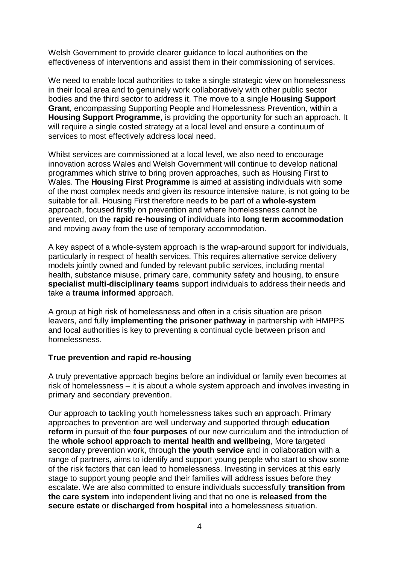Welsh Government to provide clearer guidance to local authorities on the effectiveness of interventions and assist them in their commissioning of services.

We need to enable local authorities to take a single strategic view on homelessness in their local area and to genuinely work collaboratively with other public sector bodies and the third sector to address it. The move to a single **Housing Support Grant**, encompassing Supporting People and Homelessness Prevention, within a **Housing Support Programme**, is providing the opportunity for such an approach. It will require a single costed strategy at a local level and ensure a continuum of services to most effectively address local need.

Whilst services are commissioned at a local level, we also need to encourage innovation across Wales and Welsh Government will continue to develop national programmes which strive to bring proven approaches, such as Housing First to Wales. The **Housing First Programme** is aimed at assisting individuals with some of the most complex needs and given its resource intensive nature, is not going to be suitable for all. Housing First therefore needs to be part of a **whole-system** approach, focused firstly on prevention and where homelessness cannot be prevented, on the **rapid re-housing** of individuals into **long term accommodation** and moving away from the use of temporary accommodation.

A key aspect of a whole-system approach is the wrap-around support for individuals, particularly in respect of health services. This requires alternative service delivery models jointly owned and funded by relevant public services, including mental health, substance misuse, primary care, community safety and housing, to ensure **specialist multi-disciplinary teams** support individuals to address their needs and take a **trauma informed** approach.

A group at high risk of homelessness and often in a crisis situation are prison leavers, and fully **implementing the prisoner pathway** in partnership with HMPPS and local authorities is key to preventing a continual cycle between prison and homelessness.

#### **True prevention and rapid re-housing**

A truly preventative approach begins before an individual or family even becomes at risk of homelessness – it is about a whole system approach and involves investing in primary and secondary prevention.

Our approach to tackling youth homelessness takes such an approach. Primary approaches to prevention are well underway and supported through **education reform** in pursuit of the **four purposes** of our new curriculum and the introduction of the **whole school approach to mental health and wellbeing**, More targeted secondary prevention work, through **the youth service** and in collaboration with a range of partners**,** aims to identify and support young people who start to show some of the risk factors that can lead to homelessness. Investing in services at this early stage to support young people and their families will address issues before they escalate. We are also committed to ensure individuals successfully **transition from the care system** into independent living and that no one is **released from the secure estate** or **discharged from hospital** into a homelessness situation.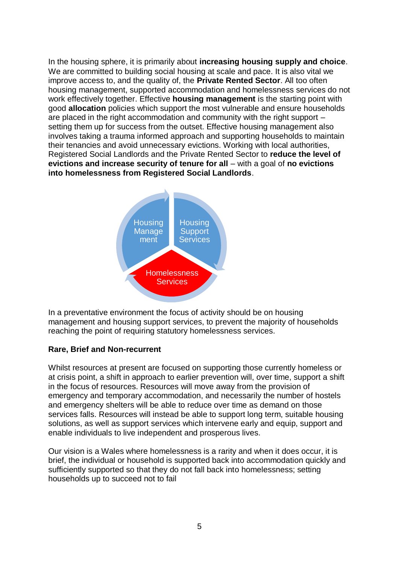In the housing sphere, it is primarily about **increasing housing supply and choice**. We are committed to building social housing at scale and pace. It is also vital we improve access to, and the quality of, the **Private Rented Sector**. All too often housing management, supported accommodation and homelessness services do not work effectively together. Effective **housing management** is the starting point with good **allocation** policies which support the most vulnerable and ensure households are placed in the right accommodation and community with the right support – setting them up for success from the outset. Effective housing management also involves taking a trauma informed approach and supporting households to maintain their tenancies and avoid unnecessary evictions. Working with local authorities, Registered Social Landlords and the Private Rented Sector to **reduce the level of evictions and increase security of tenure for all** – with a goal of **no evictions into homelessness from Registered Social Landlords**.



In a preventative environment the focus of activity should be on housing management and housing support services, to prevent the majority of households reaching the point of requiring statutory homelessness services.

#### **Rare, Brief and Non-recurrent**

Whilst resources at present are focused on supporting those currently homeless or at crisis point, a shift in approach to earlier prevention will, over time, support a shift in the focus of resources. Resources will move away from the provision of emergency and temporary accommodation, and necessarily the number of hostels and emergency shelters will be able to reduce over time as demand on those services falls. Resources will instead be able to support long term, suitable housing solutions, as well as support services which intervene early and equip, support and enable individuals to live independent and prosperous lives.

Our vision is a Wales where homelessness is a rarity and when it does occur, it is brief, the individual or household is supported back into accommodation quickly and sufficiently supported so that they do not fall back into homelessness; setting households up to succeed not to fail